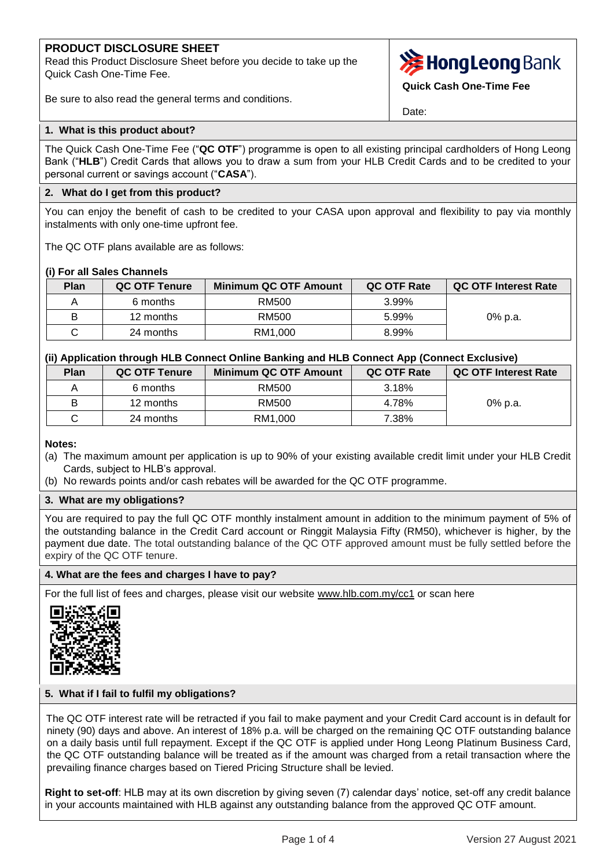# **PRODUCT DISCLOSURE SHEET**

Read this Product Disclosure Sheet before you decide to take up the Quick Cash One-Time Fee.



**Quick Cash One-Time Fee**

Date:

## Be sure to also read the general terms and conditions.

## **1. What is this product about?**

The Quick Cash One-Time Fee ("**QC OTF**") programme is open to all existing principal cardholders of Hong Leong Bank ("**HLB**") Credit Cards that allows you to draw a sum from your HLB Credit Cards and to be credited to your personal current or savings account ("**CASA**").

## **2. What do I get from this product?**

You can enjoy the benefit of cash to be credited to your CASA upon approval and flexibility to pay via monthly instalments with only one-time upfront fee.

The QC OTF plans available are as follows:

## **(i) For all Sales Channels**

| Plan | QC OTF Tenure | <b>Minimum QC OTF Amount</b> | QC OTF Rate | QC OTF Interest Rate |
|------|---------------|------------------------------|-------------|----------------------|
|      | 6 months      | RM500                        | 3.99%       |                      |
| B    | 12 months     | RM500                        | 5.99%       | 0% p.a.              |
|      | 24 months     | RM1.000                      | 8.99%       |                      |

## **(ii) Application through HLB Connect Online Banking and HLB Connect App (Connect Exclusive)**

| Plan | <b>QC OTF Tenure</b> | <b>Minimum QC OTF Amount</b> | QC OTF Rate | QC OTF Interest Rate |
|------|----------------------|------------------------------|-------------|----------------------|
|      | 6 months             | RM500                        | 3.18%       |                      |
| B    | 12 months            | RM500                        | 4.78%       | 0% p.a.              |
|      | 24 months            | RM1.000                      | 7.38%       |                      |

### **Notes:**

- (a) The maximum amount per application is up to 90% of your existing available credit limit under your HLB Credit Cards, subject to HLB's approval.
- (b) No rewards points and/or cash rebates will be awarded for the QC OTF programme.

## **3. What are my obligations?**

You are required to pay the full QC OTF monthly instalment amount in addition to the minimum payment of 5% of the outstanding balance in the Credit Card account or Ringgit Malaysia Fifty (RM50), whichever is higher, by the payment due date. The total outstanding balance of the QC OTF approved amount must be fully settled before the expiry of the QC OTF tenure.

### **4. What are the fees and charges I have to pay?**

For the full list of fees and charges, please visit our website [www.hlb.com.my/cc1](https://www.hlb.com.my/en/personal-banking/help-support/fees-and-charges/credit-cards.html) or scan here



### **5. What if I fail to fulfil my obligations?**

The QC OTF interest rate will be retracted if you fail to make payment and your Credit Card account is in default for ninety (90) days and above. An interest of 18% p.a. will be charged on the remaining QC OTF outstanding balance on a daily basis until full repayment. Except if the QC OTF is applied under Hong Leong Platinum Business Card, the QC OTF outstanding balance will be treated as if the amount was charged from a retail transaction where the prevailing finance charges based on Tiered Pricing Structure shall be levied.

**Right to set-off**: HLB may at its own discretion by giving seven (7) calendar days' notice, set-off any credit balance in your accounts maintained with HLB against any outstanding balance from the approved QC OTF amount.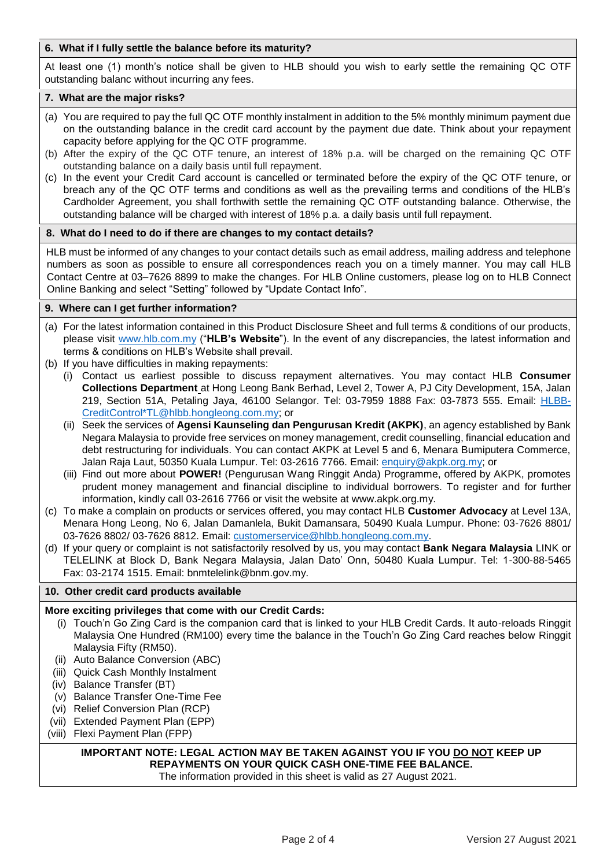## **6. What if I fully settle the balance before its maturity?**

At least one (1) month's notice shall be given to HLB should you wish to early settle the remaining QC OTF outstanding balanc without incurring any fees.

## **7. What are the major risks?**

- (a) You are required to pay the full QC OTF monthly instalment in addition to the 5% monthly minimum payment due on the outstanding balance in the credit card account by the payment due date. Think about your repayment capacity before applying for the QC OTF programme.
- (b) After the expiry of the QC OTF tenure, an interest of 18% p.a. will be charged on the remaining QC OTF outstanding balance on a daily basis until full repayment.
- (c) In the event your Credit Card account is cancelled or terminated before the expiry of the QC OTF tenure, or breach any of the QC OTF terms and conditions as well as the prevailing terms and conditions of the HLB's Cardholder Agreement, you shall forthwith settle the remaining QC OTF outstanding balance. Otherwise, the outstanding balance will be charged with interest of 18% p.a. a daily basis until full repayment.

## **8. What do I need to do if there are changes to my contact details?**

HLB must be informed of any changes to your contact details such as email address, mailing address and telephone numbers as soon as possible to ensure all correspondences reach you on a timely manner. You may call HLB Contact Centre at 03–7626 8899 to make the changes. For HLB Online customers, please log on to HLB Connect Online Banking and select "Setting" followed by "Update Contact Info".

## **9. Where can I get further information?**

- (a) For the latest information contained in this Product Disclosure Sheet and full terms & conditions of our products, please visit [www.hlb.com.my](http://www.hlb.com.my/) ("**HLB's Website**"). In the event of any discrepancies, the latest information and terms & conditions on HLB's Website shall prevail.
- (b) If you have difficulties in making repayments:
	- (i) Contact us earliest possible to discuss repayment alternatives. You may contact HLB **Consumer Collections Department** at Hong Leong Bank Berhad, Level 2, Tower A, PJ City Development, 15A, Jalan 219, Section 51A, Petaling Jaya, 46100 Selangor. Tel: 03-7959 1888 Fax: 03-7873 555. Email: [HLBB-](mailto:HLBB-CreditControl*TL@hlbb.hongleong.com.my)[CreditControl\\*TL@hlbb.hongleong.com.my;](mailto:HLBB-CreditControl*TL@hlbb.hongleong.com.my) or
	- (ii) Seek the services of **Agensi Kaunseling dan Pengurusan Kredit (AKPK)**, an agency established by Bank Negara Malaysia to provide free services on money management, credit counselling, financial education and debt restructuring for individuals. You can contact AKPK at Level 5 and 6, Menara Bumiputera Commerce, Jalan Raja Laut, 50350 Kuala Lumpur. Tel: 03-2616 7766. Email: [enquiry@akpk.org.my;](mailto:enquiry@akpk.org.my) or
	- (iii) Find out more about **POWER!** (Pengurusan Wang Ringgit Anda) Programme, offered by AKPK, promotes prudent money management and financial discipline to individual borrowers. To register and for further information, kindly call 03-2616 7766 or visit the website at www.akpk.org.my.
- (c) To make a complain on products or services offered, you may contact HLB **Customer Advocacy** at Level 13A, Menara Hong Leong, No 6, Jalan Damanlela, Bukit Damansara, 50490 Kuala Lumpur. Phone: 03-7626 8801/ 03-7626 8802/ 03-7626 8812. Email: [customerservice@hlbb.hongleong.com.my.](mailto:customerservice@hlbb.hongleong.com.my)
- (d) If your query or complaint is not satisfactorily resolved by us, you may contact **Bank Negara Malaysia** LINK or TELELINK at Block D, Bank Negara Malaysia, Jalan Dato' Onn, 50480 Kuala Lumpur. Tel: 1-300-88-5465 Fax: 03-2174 1515. Email: bnmtelelink@bnm.gov.my.

### **10. Other credit card products available**

## **More exciting privileges that come with our Credit Cards:**

- (i) Touch'n Go Zing Card is the companion card that is linked to your HLB Credit Cards. It auto-reloads Ringgit Malaysia One Hundred (RM100) every time the balance in the Touch'n Go Zing Card reaches below Ringgit Malaysia Fifty (RM50).
- (ii) Auto Balance Conversion (ABC)
- (iii) Quick Cash Monthly Instalment
- (iv) Balance Transfer (BT)
- (v) Balance Transfer One-Time Fee
- (vi) Relief Conversion Plan (RCP)
- (vii) Extended Payment Plan (EPP)
- (viii) Flexi Payment Plan (FPP)

## **IMPORTANT NOTE: LEGAL ACTION MAY BE TAKEN AGAINST YOU IF YOU DO NOT KEEP UP REPAYMENTS ON YOUR QUICK CASH ONE-TIME FEE BALANCE.**

The information provided in this sheet is valid as 27 August 2021.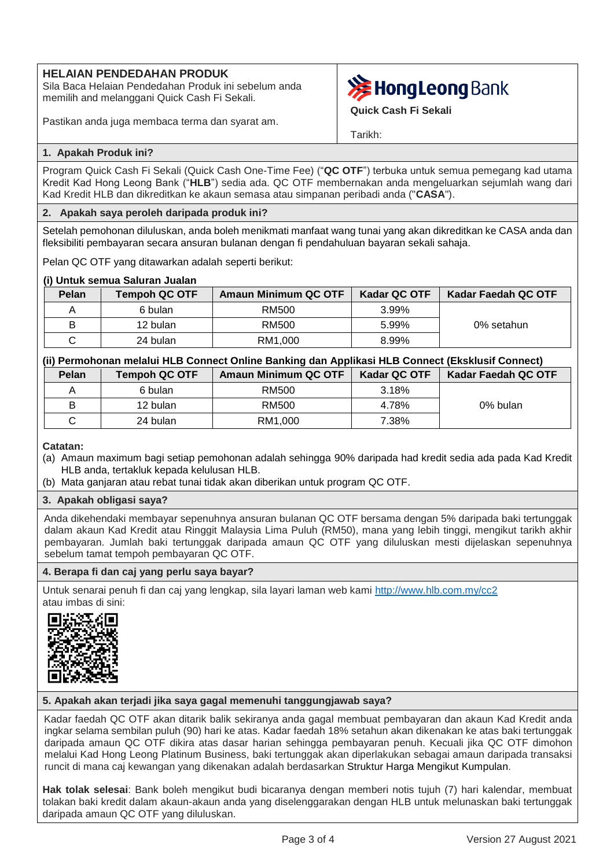# **HELAIAN PENDEDAHAN PRODUK**

Sila Baca Helaian Pendedahan Produk ini sebelum anda memilih and melanggani Quick Cash Fi Sekali.

Pastikan anda juga membaca terma dan syarat am.



**Quick Cash Fi Sekali**

Tarikh:

## **1. Apakah Produk ini?**

Program Quick Cash Fi Sekali (Quick Cash One-Time Fee) ("**QC OTF**") terbuka untuk semua pemegang kad utama Kredit Kad Hong Leong Bank ("**HLB**") sedia ada. QC OTF membernakan anda mengeluarkan sejumlah wang dari Kad Kredit HLB dan dikreditkan ke akaun semasa atau simpanan peribadi anda ("**CASA**").

## **2. Apakah saya peroleh daripada produk ini?**

Setelah pemohonan diluluskan, anda boleh menikmati manfaat wang tunai yang akan dikreditkan ke CASA anda dan fleksibiliti pembayaran secara ansuran bulanan dengan fi pendahuluan bayaran sekali sahaja.

Pelan QC OTF yang ditawarkan adalah seperti berikut:

## **(i) Untuk semua Saluran Jualan**

| Pelan | <b>Tempoh QC OTF</b> | <b>Amaun Minimum QC OTF</b> | <b>Kadar QC OTF</b> | <b>Kadar Faedah QC OTF</b> |
|-------|----------------------|-----------------------------|---------------------|----------------------------|
|       | 6 bulan              | RM500                       | 3.99%               |                            |
| B     | 12 bulan             | RM500                       | 5.99%               | 0% setahun                 |
|       | 24 bulan             | RM1.000                     | 8.99%               |                            |

| (ii) Permohonan melalui HLB Connect Online Banking dan Applikasi HLB Connect (Eksklusif Connect) |                      |                             |                     |                     |
|--------------------------------------------------------------------------------------------------|----------------------|-----------------------------|---------------------|---------------------|
| Pelan                                                                                            | <b>Tempoh QC OTF</b> | <b>Amaun Minimum QC OTF</b> | <b>Kadar QC OTF</b> | Kadar Faedah QC OTF |
| Α                                                                                                | 6 bulan              | RM500                       | 3.18%               |                     |
| B                                                                                                | 12 bulan             | RM500                       | 4.78%               | 0% bulan            |
| С                                                                                                | 24 bulan             | RM1.000                     | 7.38%               |                     |

## **Catatan:**

- (a) Amaun maximum bagi setiap pemohonan adalah sehingga 90% daripada had kredit sedia ada pada Kad Kredit HLB anda, tertakluk kepada kelulusan HLB.
- (b) Mata ganjaran atau rebat tunai tidak akan diberikan untuk program QC OTF.

## **3. Apakah obligasi saya?**

Anda dikehendaki membayar sepenuhnya ansuran bulanan QC OTF bersama dengan 5% daripada baki tertunggak dalam akaun Kad Kredit atau Ringgit Malaysia Lima Puluh (RM50), mana yang lebih tinggi, mengikut tarikh akhir pembayaran. Jumlah baki tertunggak daripada amaun QC OTF yang diluluskan mesti dijelaskan sepenuhnya sebelum tamat tempoh pembayaran QC OTF.

## **4. Berapa fi dan caj yang perlu saya bayar?**

Untuk senarai penuh fi dan caj yang lengkap, sila layari laman web kami [http://www.hlb.com.my/cc2](https://www.hlb.com.my/ms/personal-banking/help-support/fees-and-charges.html?icp=hlb-bm-all-footer-txt-feecharges) atau imbas di sini:



## **5. Apakah akan terjadi jika saya gagal memenuhi tanggungjawab saya?**

Kadar faedah QC OTF akan ditarik balik sekiranya anda gagal membuat pembayaran dan akaun Kad Kredit anda ingkar selama sembilan puluh (90) hari ke atas. Kadar faedah 18% setahun akan dikenakan ke atas baki tertunggak daripada amaun QC OTF dikira atas dasar harian sehingga pembayaran penuh. Kecuali jika QC OTF dimohon melalui Kad Hong Leong Platinum Business, baki tertunggak akan diperlakukan sebagai amaun daripada transaksi runcit di mana caj kewangan yang dikenakan adalah berdasarkan Struktur Harga Mengikut Kumpulan.

**Hak tolak selesai**: Bank boleh mengikut budi bicaranya dengan memberi notis tujuh (7) hari kalendar, membuat tolakan baki kredit dalam akaun-akaun anda yang diselenggarakan dengan HLB untuk melunaskan baki tertunggak daripada amaun QC OTF yang diluluskan.